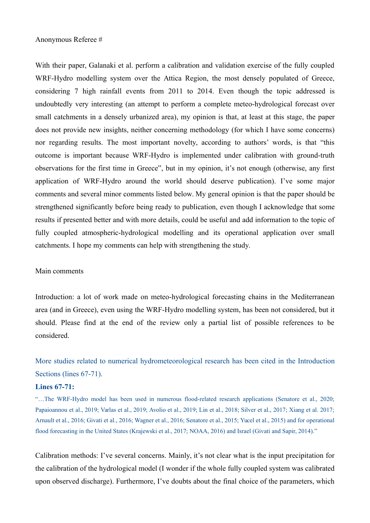### Anonymous Referee #

With their paper, Galanaki et al. perform a calibration and validation exercise of the fully coupled WRF-Hydro modelling system over the Attica Region, the most densely populated of Greece, considering 7 high rainfall events from 2011 to 2014. Even though the topic addressed is undoubtedly very interesting (an attempt to perform a complete meteo-hydrological forecast over small catchments in a densely urbanized area), my opinion is that, at least at this stage, the paper does not provide new insights, neither concerning methodology (for which I have some concerns) nor regarding results. The most important novelty, according to authors' words, is that "this outcome is important because WRF-Hydro is implemented under calibration with ground-truth observations for the first time in Greece", but in my opinion, it's not enough (otherwise, any first application of WRF-Hydro around the world should deserve publication). I've some major comments and several minor comments listed below. My general opinion is that the paper should be strengthened significantly before being ready to publication, even though I acknowledge that some results if presented better and with more details, could be useful and add information to the topic of fully coupled atmospheric-hydrological modelling and its operational application over small catchments. I hope my comments can help with strengthening the study.

#### Main comments

Introduction: a lot of work made on meteo-hydrological forecasting chains in the Mediterranean area (and in Greece), even using the WRF-Hydro modelling system, has been not considered, but it should. Please find at the end of the review only a partial list of possible references to be considered.

More studies related to numerical hydrometeorological research has been cited in the Introduction Sections (lines 67-71).

### **Lines 67-71:**

"…The WRF-Hydro model has been used in numerous flood-related research applications (Senatore et al., 2020; Papaioannou et al., 2019; Varlas et al., 2019; Avolio et al., 2019; Lin et al., 2018; Silver et al., 2017; Xiang et al. 2017; Arnault et al., 2016; Givati et al., 2016; Wagner et al., 2016; Senatore et al., 2015; Yucel et al., 2015) and for operational flood forecasting in the United States (Krajewski et al., 2017; NOAA, 2016) and Israel (Givati and Sapir, 2014)."

Calibration methods: I've several concerns. Mainly, it's not clear what is the input precipitation for the calibration of the hydrological model (I wonder if the whole fully coupled system was calibrated upon observed discharge). Furthermore, I've doubts about the final choice of the parameters, which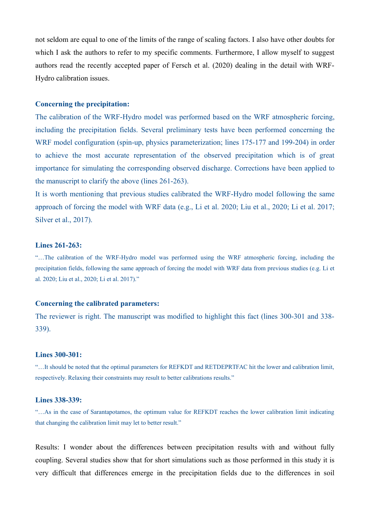not seldom are equal to one of the limits of the range of scaling factors. I also have other doubts for which I ask the authors to refer to my specific comments. Furthermore, I allow myself to suggest authors read the recently accepted paper of Fersch et al. (2020) dealing in the detail with WRF-Hydro calibration issues.

### **Concerning the precipitation:**

The calibration of the WRF-Hydro model was performed based on the WRF atmospheric forcing, including the precipitation fields. Several preliminary tests have been performed concerning the WRF model configuration (spin-up, physics parameterization; lines 175-177 and 199-204) in order to achieve the most accurate representation of the observed precipitation which is of great importance for simulating the corresponding observed discharge. Corrections have been applied to the manuscript to clarify the above (lines 261-263).

It is worth mentioning that previous studies calibrated the WRF-Hydro model following the same approach of forcing the model with WRF data (e.g., Li et al. 2020; Liu et al., 2020; Li et al. 2017; Silver et al., 2017).

### **Lines 261-263:**

"…The calibration of the WRF-Hydro model was performed using the WRF atmospheric forcing, including the precipitation fields, following the same approach of forcing the model with WRF data from previous studies (e.g. Li et al. 2020; Liu et al., 2020; Li et al. 2017)."

### **Concerning the calibrated parameters:**

The reviewer is right. The manuscript was modified to highlight this fact (lines 300-301 and 338- 339).

### **Lines 300-301:**

"…It should be noted that the optimal parameters for REFKDT and RETDEPRTFAC hit the lower and calibration limit, respectively. Relaxing their constraints may result to better calibrations results."

# **Lines 338-339:**

"…As in the case of Sarantapotamos, the optimum value for REFKDT reaches the lower calibration limit indicating that changing the calibration limit may let to better result."

Results: I wonder about the differences between precipitation results with and without fully coupling. Several studies show that for short simulations such as those performed in this study it is very difficult that differences emerge in the precipitation fields due to the differences in soil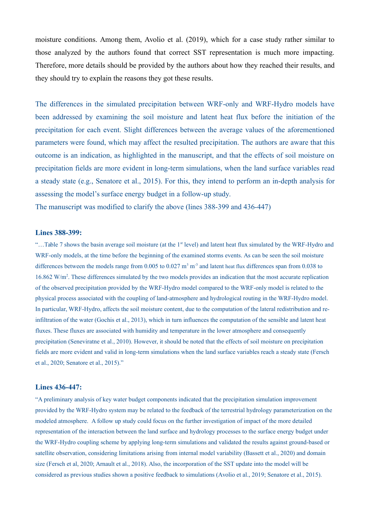moisture conditions. Among them, Avolio et al. (2019), which for a case study rather similar to those analyzed by the authors found that correct SST representation is much more impacting. Therefore, more details should be provided by the authors about how they reached their results, and they should try to explain the reasons they got these results.

The differences in the simulated precipitation between WRF-only and WRF-Hydro models have been addressed by examining the soil moisture and latent heat flux before the initiation of the precipitation for each event. Slight differences between the average values of the aforementioned parameters were found, which may affect the resulted precipitation. The authors are aware that this outcome is an indication, as highlighted in the manuscript, and that the effects of soil moisture on precipitation fields are more evident in long-term simulations, when the land surface variables read a steady state (e.g., Senatore et al., 2015). For this, they intend to perform an in-depth analysis for assessing the model's surface energy budget in a follow-up study.

The manuscript was modified to clarify the above (lines 388-399 and 436-447)

#### **Lines 388-399:**

"...Table 7 shows the basin average soil moisture (at the 1<sup>st</sup> level) and latent heat flux simulated by the WRF-Hydro and WRF-only models, at the time before the beginning of the examined storms events. As can be seen the soil moisture differences between the models range from 0.005 to 0.027  $\text{m}^3$  m<sup>3</sup> and latent heat flux differences span from 0.038 to 16.862 W/m<sup>2</sup> . These differences simulated by the two models provides an indication that the most accurate replication of the observed precipitation provided by the WRF-Hydro model compared to the WRF-only model is related to the physical process associated with the coupling of land-atmosphere and hydrological routing in the WRF-Hydro model. In particular, WRF-Hydro, affects the soil moisture content, due to the computation of the lateral redistribution and reinfiltration of the water (Gochis et al., 2013), which in turn influences the computation of the sensible and latent heat fluxes. These fluxes are associated with humidity and temperature in the lower atmosphere and consequently precipitation (Seneviratne et al., 2010). However, it should be noted that the effects of soil moisture on precipitation fields are more evident and valid in long-term simulations when the land surface variables reach a steady state (Fersch et al., 2020; Senatore et al., 2015)."

### **Lines 436-447:**

"A preliminary analysis of key water budget components indicated that the precipitation simulation improvement provided by the WRF-Hydro system may be related to the feedback of the terrestrial hydrology parameterization on the modeled atmosphere. A follow up study could focus on the further investigation of impact of the more detailed representation of the interaction between the land surface and hydrology processes to the surface energy budget under the WRF-Hydro coupling scheme by applying long-term simulations and validated the results against ground-based or satellite observation, considering limitations arising from internal model variability (Bassett et al., 2020) and domain size (Fersch et al, 2020; Arnault et al., 2018). Also, the incorporation of the SST update into the model will be considered as previous studies shown a positive feedback to simulations (Avolio et al., 2019; Senatore et al., 2015).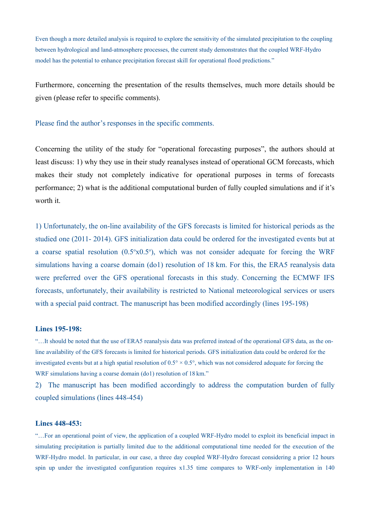Even though a more detailed analysis is required to explore the sensitivity of the simulated precipitation to the coupling between hydrological and land-atmosphere processes, the current study demonstrates that the coupled WRF-Hydro model has the potential to enhance precipitation forecast skill for operational flood predictions."

Furthermore, concerning the presentation of the results themselves, much more details should be given (please refer to specific comments).

### Please find the author's responses in the specific comments.

Concerning the utility of the study for "operational forecasting purposes", the authors should at least discuss: 1) why they use in their study reanalyses instead of operational GCM forecasts, which makes their study not completely indicative for operational purposes in terms of forecasts performance; 2) what is the additional computational burden of fully coupled simulations and if it's worth it.

1) Unfortunately, the on-line availability of the GFS forecasts is limited for historical periods as the studied one (2011- 2014). GFS initialization data could be ordered for the investigated events but at a coarse spatial resolution  $(0.5^{\circ}x0.5^{\circ})$ , which was not consider adequate for forcing the WRF simulations having a coarse domain (do1) resolution of 18 km. For this, the ERA5 reanalysis data were preferred over the GFS operational forecasts in this study. Concerning the ECMWF IFS forecasts, unfortunately, their availability is restricted to National meteorological services or users with a special paid contract. The manuscript has been modified accordingly (lines 195-198)

### **Lines 195-198:**

"…It should be noted that the use of ERA5 reanalysis data was preferred instead of the operational GFS data, as the online availability of the GFS forecasts is limited for historical periods. GFS initialization data could be ordered for the investigated events but at a high spatial resolution of  $0.5^\circ \times 0.5^\circ$ , which was not considered adequate for forcing the WRF simulations having a coarse domain (do1) resolution of 18 km."

2) The manuscript has been modified accordingly to address the computation burden of fully coupled simulations (lines 448-454)

#### **Lines 448-453:**

"…For an operational point of view, the application of a coupled WRF-Hydro model to exploit its beneficial impact in simulating precipitation is partially limited due to the additional computational time needed for the execution of the WRF-Hydro model. In particular, in our case, a three day coupled WRF-Hydro forecast considering a prior 12 hours spin up under the investigated configuration requires x1.35 time compares to WRF-only implementation in 140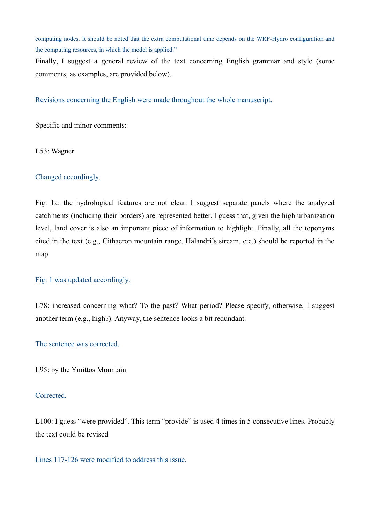computing nodes. It should be noted that the extra computational time depends on the WRF-Hydro configuration and the computing resources, in which the model is applied."

Finally, I suggest a general review of the text concerning English grammar and style (some comments, as examples, are provided below).

Revisions concerning the English were made throughout the whole manuscript.

Specific and minor comments:

L53: Wagner

# Changed accordingly.

Fig. 1a: the hydrological features are not clear. I suggest separate panels where the analyzed catchments (including their borders) are represented better. I guess that, given the high urbanization level, land cover is also an important piece of information to highlight. Finally, all the toponyms cited in the text (e.g., Cithaeron mountain range, Halandri's stream, etc.) should be reported in the map

## Fig. 1 was updated accordingly.

L78: increased concerning what? To the past? What period? Please specify, otherwise, I suggest another term (e.g., high?). Anyway, the sentence looks a bit redundant.

The sentence was corrected.

L95: by the Ymittos Mountain

### Corrected.

L100: I guess "were provided". This term "provide" is used 4 times in 5 consecutive lines. Probably the text could be revised

Lines 117-126 were modified to address this issue.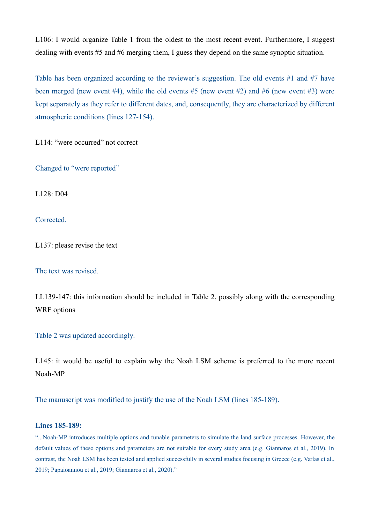L106: I would organize Table 1 from the oldest to the most recent event. Furthermore, I suggest dealing with events #5 and #6 merging them, I guess they depend on the same synoptic situation.

Table has been organized according to the reviewer's suggestion. The old events #1 and #7 have been merged (new event #4), while the old events #5 (new event #2) and #6 (new event #3) were kept separately as they refer to different dates, and, consequently, they are characterized by different atmospheric conditions (lines 127-154).

L114: "were occurred" not correct

Changed to "were reported"

L128: D04

Corrected.

L137: please revise the text

The text was revised.

LL139-147: this information should be included in Table 2, possibly along with the corresponding WRF options

Table 2 was updated accordingly.

L145: it would be useful to explain why the Noah LSM scheme is preferred to the more recent Noah-MP

The manuscript was modified to justify the use of the Noah LSM (lines 185-189).

### **Lines 185-189:**

"...Noah-MP introduces multiple options and tunable parameters to simulate the land surface processes. However, the default values of these options and parameters are not suitable for every study area (e.g. Giannaros et al., 2019). In contrast, the Noah LSM has been tested and applied successfully in several studies focusing in Greece (e.g. Varlas et al., 2019; Papaioannou et al., 2019; Giannaros et al., 2020)."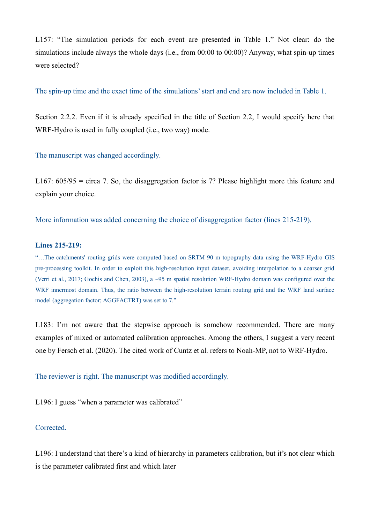L157: "The simulation periods for each event are presented in Table 1." Not clear: do the simulations include always the whole days (i.e., from 00:00 to 00:00)? Anyway, what spin-up times were selected?

The spin-up time and the exact time of the simulations' start and end are now included in Table 1.

Section 2.2.2. Even if it is already specified in the title of Section 2.2, I would specify here that WRF-Hydro is used in fully coupled (i.e., two way) mode.

The manuscript was changed accordingly.

L167:  $605/95$  = circa 7. So, the disaggregation factor is 7? Please highlight more this feature and explain your choice.

More information was added concerning the choice of disaggregation factor (lines 215-219).

### **Lines 215-219:**

"…The catchments' routing grids were computed based on SRTM 90 m topography data using the WRF-Hydro GIS pre-processing toolkit. In order to exploit this high-resolution input dataset, avoiding interpolation to a coarser grid (Verri et al., 2017; Gochis and Chen, 2003), a ~95 m spatial resolution WRF-Hydro domain was configured over the WRF innermost domain. Thus, the ratio between the high-resolution terrain routing grid and the WRF land surface model (aggregation factor; AGGFACTRT) was set to 7."

L183: I'm not aware that the stepwise approach is somehow recommended. There are many examples of mixed or automated calibration approaches. Among the others, I suggest a very recent one by Fersch et al. (2020). The cited work of Cuntz et al. refers to Noah-MP, not to WRF-Hydro.

The reviewer is right. The manuscript was modified accordingly.

L196: I guess "when a parameter was calibrated"

## Corrected.

L196: I understand that there's a kind of hierarchy in parameters calibration, but it's not clear which is the parameter calibrated first and which later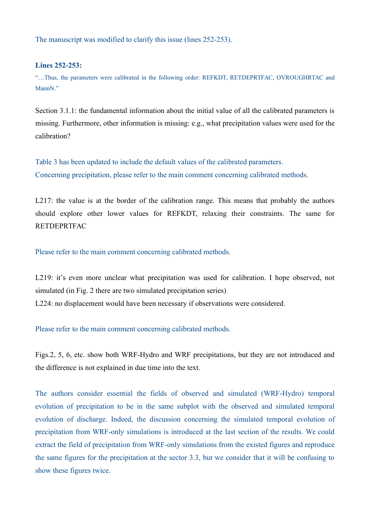The manuscript was modified to clarify this issue (lines 252-253).

## **Lines 252-253:**

"…Thus, the parameters were calibrated in the following order: REFKDT, RETDEPRTFAC, OVROUGHRTAC and MannN<sup>"</sup>

Section 3.1.1: the fundamental information about the initial value of all the calibrated parameters is missing. Furthermore, other information is missing: e.g., what precipitation values were used for the calibration?

Table 3 has been updated to include the default values of the calibrated parameters. Concerning precipitation, please refer to the main comment concerning calibrated methods.

L217: the value is at the border of the calibration range. This means that probably the authors should explore other lower values for REFKDT, relaxing their constraints. The same for RETDEPRTFAC

Please refer to the main comment concerning calibrated methods.

L219: it's even more unclear what precipitation was used for calibration. I hope observed, not simulated (in Fig. 2 there are two simulated precipitation series) L224: no displacement would have been necessary if observations were considered.

Please refer to the main comment concerning calibrated methods.

Figs.2, 5, 6, etc. show both WRF-Hydro and WRF precipitations, but they are not introduced and the difference is not explained in due time into the text.

The authors consider essential the fields of observed and simulated (WRF-Hydro) temporal evolution of precipitation to be in the same subplot with the observed and simulated temporal evolution of discharge. Indeed, the discussion concerning the simulated temporal evolution of precipitation from WRF-only simulations is introduced at the last section of the results. We could extract the field of precipitation from WRF-only simulations from the existed figures and reproduce the same figures for the precipitation at the sector 3.3, but we consider that it will be confusing to show these figures twice.